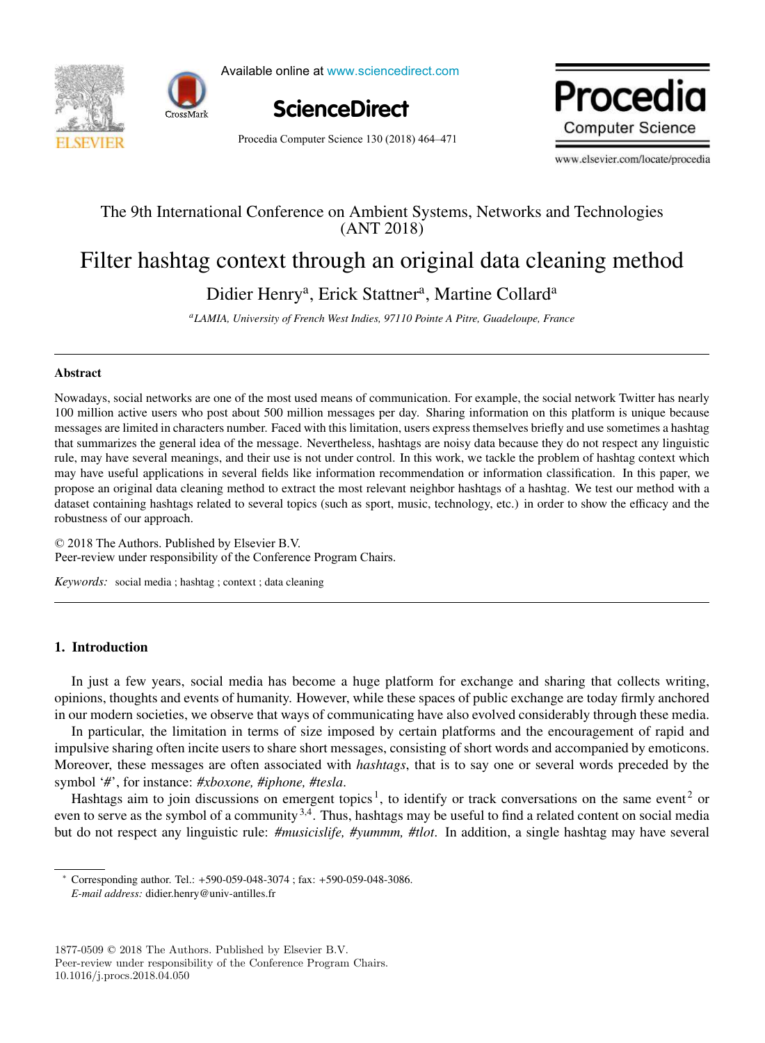



Available online at www.sciencedirect.com Available online at www.sciencedirect.com



Procedia Computer Science 130 (2018) 464–471



www.elsevier.com/locate/procedia

## The 9th International Conference on Ambient Systems, Networks and Technologies The 9th International Conference on Ambient Systems, Networks and Technologies (ANT 2018) (ANT 2018)

# Filter hashtag context through an original data cleaning method Filter hashtag context through an original data cleaning method

Didier Henry<sup>a</sup>, Erick Stattner<sup>a</sup>, Martine Collard<sup>a</sup>

*aLAMIA, University of French West Indies, 97110 Pointe A Pitre, Guadeloupe, France aLAMIA, University of French West Indies, 97110 Pointe A Pitre, Guadeloupe, France*

#### Abstract Abstract

100 million active users who post about 500 million messages per day. Sharing information on this platform is unique because messages are limited in characters number. Faced with this limitation, users express themselves briefly and use sometimes a hashtagenessages are limited in characters number. Faced with this limitation, users express thems that summarizes the general idea of the message. Nevertheless, hashtags are noisy data because they do not respect any linguistic rule, may have several meanings, and their use is not under control. In this work, we tackle the problem of hashtag context which may have several meanings, and then use is not anter control. In this work, we dence the problem of hashing context which<br>may have useful applications in several fields like information recommendation or information classi propose an original data cleaning method to extract the most relevant neighbor hashtags of a hashtag. We test our method with a propose an original data cleaning method to extract the most relevant neighbor hashtags of a hashtage most relevant neighbor hashtage and the most relevant neighbor hashtage and the stract our method with a stracture of a dataset containing hashtags related to several topics (such as sport, music, technology, etc.) in order to show the efficacy and the<br>relations of our anneaech robustness of our approach. robustness of our approach. Nowadays, social networks are one of the most used means of communication. For example, the social network Twitter has nearly

© 2018 The Authors. Published by Elsevier B.V. Peer-review under responsibility of the Conference Program Chairs. Peer-review under responsibility of the Conference Program Chairs. Peer-review under responsibility of the Conference Program Chairs.

*Keywords:* social media ; hashtag ; context ; data cleaning *Keywords:* social media ; hashtag ; context ; data cleaning

## 1. Introduction 1. Introduction

In just a few years, social media has become a huge platform for exchange and sharing that collects writing, In just a few years, social media has become a huge platform for exchange and sharing that collects writing, opinions, thoughts and events of humanity. However, while these spaces of public exchange are today firmly anchored in our modern societies, we observe that ways of communicating have also evolved considerably through these media.

In particular, the limitation in terms of size imposed by certain platforms and the encouragement of rapid and In particular, the limitation in terms of size imposed by certain platforms and the encouragement of rapid and impulsive sharing often incite users to share short messages, consisting of short words and accompanied by emoticons. Moreover, these messages are often associated with *hashtags*, that is to say one or several words preceded by the symbol '*#*', for instance: *#xboxone, #iphone, #tesla*. symbol '*#*', for instance: *#xboxone, #iphone, #tesla*.

Hashtags aim to join discussions on emergent topics<sup>1</sup>, to identify or track conversations on the same event<sup>2</sup> or Trashtags and to join discussions on emergent topics, to dentify or track conversations on the same event of even to serve as the symbol of a community  $3.4$ . Thus, hashtags may be useful to find a related content on soci but do not respect any linguistic rule: #musicislife, #yummm, #tlot. In addition, a single hashtag may have several

1877-0509  $\odot$  2018 The Authors. Published by Elsevier B.V. Peer-review under responsibility of the Conference Program Chairs. Peer-review under responsibility of the Conference Program Chairs. Peer-review under responsibility of the Conference Program Chairs. 10.1016/j.procs.2018.04.050

<sup>∗</sup> Corresponding author. Tel.: +590-059-048-3074 ; fax: +590-059-048-3086. ∗ Corresponding author. Tel.: +590-059-048-3074 ; fax: +590-059-048-3086. *E-mail address:* didier.henry@univ-antilles.fr *E-mail address:* didier.henry@univ-antilles.fr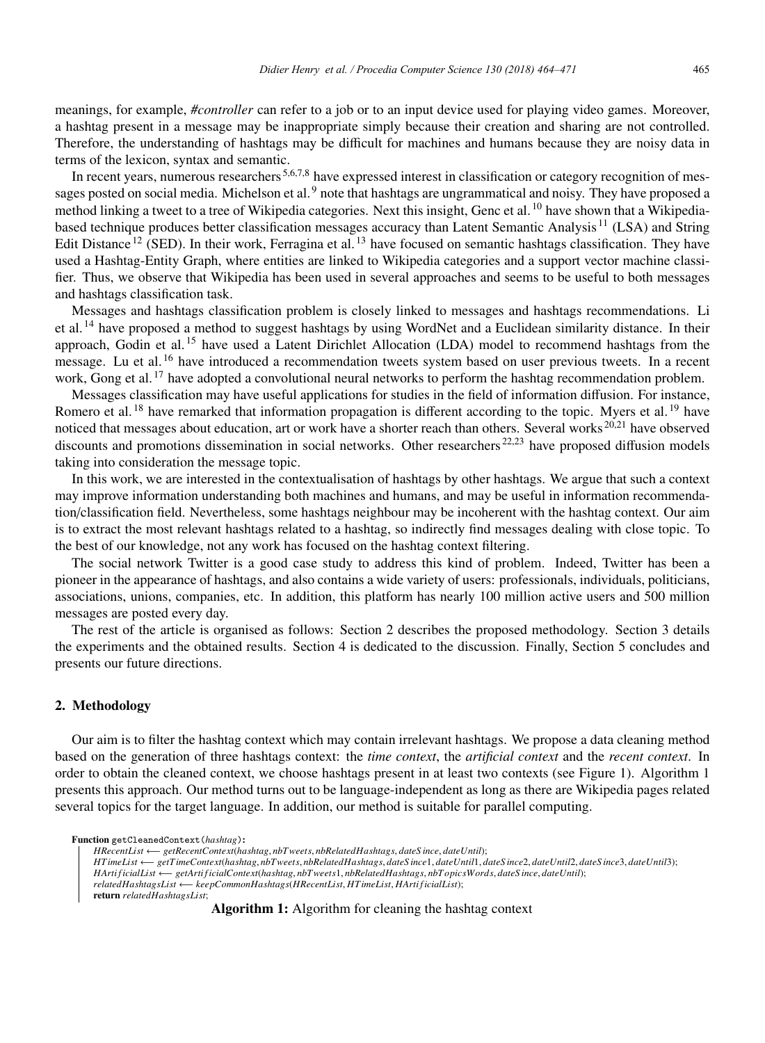meanings, for example, *#controller* can refer to a job or to an input device used for playing video games. Moreover, a hashtag present in a message may be inappropriate simply because their creation and sharing are not controlled. Therefore, the understanding of hashtags may be difficult for machines and humans because they are noisy data in terms of the lexicon, syntax and semantic.

In recent years, numerous researchers 5,6,7,8 have expressed interest in classification or category recognition of messages posted on social media. Michelson et al. <sup>9</sup> note that hashtags are ungrammatical and noisy. They have proposed a method linking a tweet to a tree of Wikipedia categories. Next this insight, Genc et al. <sup>10</sup> have shown that a Wikipediabased technique produces better classification messages accuracy than Latent Semantic Analysis <sup>11</sup> (LSA) and String Edit Distance <sup>12</sup> (SED). In their work, Ferragina et al.<sup>13</sup> have focused on semantic hashtags classification. They have used a Hashtag-Entity Graph, where entities are linked to Wikipedia categories and a support vector machine classifier. Thus, we observe that Wikipedia has been used in several approaches and seems to be useful to both messages and hashtags classification task.

Messages and hashtags classification problem is closely linked to messages and hashtags recommendations. Li et al. <sup>14</sup> have proposed a method to suggest hashtags by using WordNet and a Euclidean similarity distance. In their approach, Godin et al. <sup>15</sup> have used a Latent Dirichlet Allocation (LDA) model to recommend hashtags from the message. Lu et al.<sup>16</sup> have introduced a recommendation tweets system based on user previous tweets. In a recent work, Gong et al.<sup>17</sup> have adopted a convolutional neural networks to perform the hashtag recommendation problem.

Messages classification may have useful applications for studies in the field of information diffusion. For instance, Romero et al. <sup>18</sup> have remarked that information propagation is different according to the topic. Myers et al. <sup>19</sup> have noticed that messages about education, art or work have a shorter reach than others. Several works<sup>20,21</sup> have observed discounts and promotions dissemination in social networks. Other researchers<sup>22,23</sup> have proposed diffusion models taking into consideration the message topic.

In this work, we are interested in the contextualisation of hashtags by other hashtags. We argue that such a context may improve information understanding both machines and humans, and may be useful in information recommendation/classification field. Nevertheless, some hashtags neighbour may be incoherent with the hashtag context. Our aim is to extract the most relevant hashtags related to a hashtag, so indirectly find messages dealing with close topic. To the best of our knowledge, not any work has focused on the hashtag context filtering.

The social network Twitter is a good case study to address this kind of problem. Indeed, Twitter has been a pioneer in the appearance of hashtags, and also contains a wide variety of users: professionals, individuals, politicians, associations, unions, companies, etc. In addition, this platform has nearly 100 million active users and 500 million messages are posted every day.

The rest of the article is organised as follows: Section 2 describes the proposed methodology. Section 3 details the experiments and the obtained results. Section 4 is dedicated to the discussion. Finally, Section 5 concludes and presents our future directions.

### 2. Methodology

Our aim is to filter the hashtag context which may contain irrelevant hashtags. We propose a data cleaning method based on the generation of three hashtags context: the *time context*, the *artificial context* and the *recent context*. In order to obtain the cleaned context, we choose hashtags present in at least two contexts (see Figure 1). Algorithm 1 presents this approach. Our method turns out to be language-independent as long as there are Wikipedia pages related several topics for the target language. In addition, our method is suitable for parallel computing.

Function getCleanedContext(*hashtag*):

*HRecentList* ←− *getRecentContext*(*hashtag*, *nbTweets*, *nbRelatedHashtags*, *dateS ince*, *dateUntil*);

*HTimeList* ←− *getTimeContext*(*hashtag*, *nbTweets*, *nbRelatedHashtags*, *dateS ince*1, *dateUntil*1, *dateS ince*2, *dateUntil*2, *dateS ince*3, *dateUntil*3);

*HArti f icialList* ←− *getArti f icialContext*(*hashtag*, *nbTweets*1, *nbRelatedHashtags*, *nbT opicsWords*, *dateS ince*, *dateUntil*);

*relatedHashtagsList* ←− *keepCommonHashtags*(*HRecentList*, *HTimeList*, *HArti f icialList*);

return *relatedHashtagsList*;

Algorithm 1: Algorithm for cleaning the hashtag context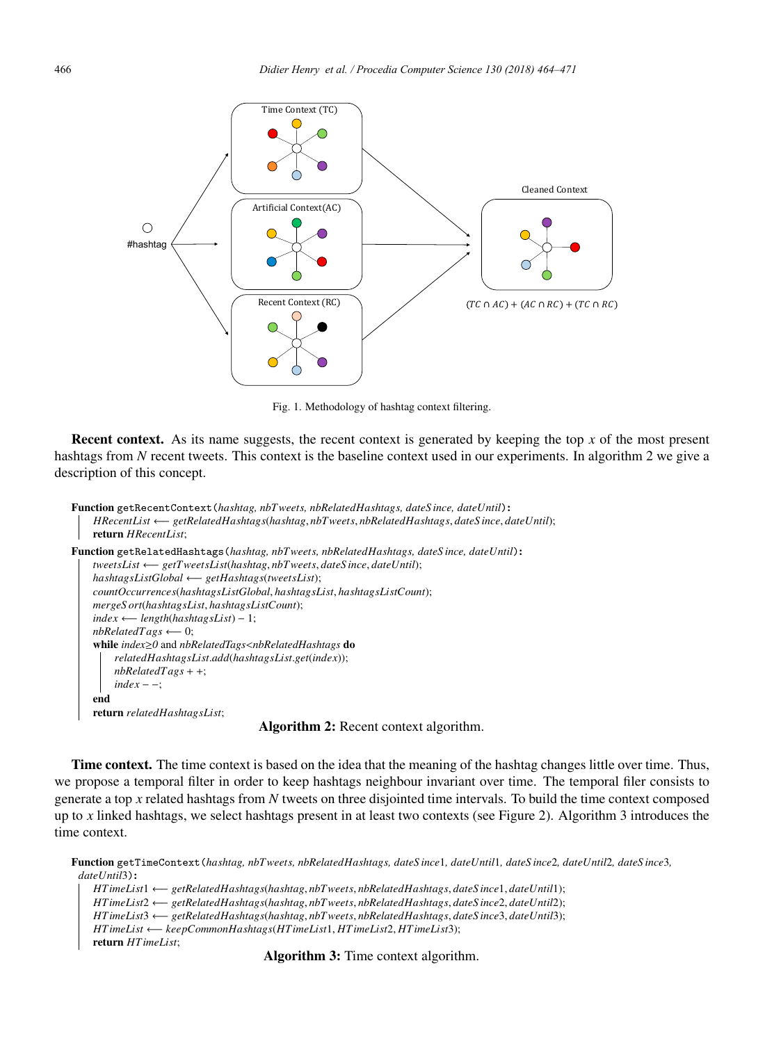

Fig. 1. Methodology of hashtag context filtering.

Recent context. As its name suggests, the recent context is generated by keeping the top *x* of the most present hashtags from *N* recent tweets. This context is the baseline context used in our experiments. In algorithm 2 we give a description of this concept.

```
Function getRecentContext(hashtag, nbTweets, nbRelatedHashtags, dateS ince, dateUntil):
    HRecentList ←− getRelatedHashtags(hashtag, nbTweets, nbRelatedHashtags, dateS ince, dateUntil);
   return HRecentList;
Function getRelatedHashtags(hashtag, nbTweets, nbRelatedHashtags, dateS ince, dateUntil):
   tweetsList ←− getTweetsList(hashtag, nbTweets, dateS ince, dateUntil);
    hashtagsListGlobal ←− getHashtags(tweetsList);
    countOccurrences(hashtagsListGlobal, hashtagsList, hashtagsListCount);
    mergeS ort(hashtagsList, hashtagsListCount);
    index ←− length(hashtagsList) − 1;
    nbRelatedT ags ←− 0;
    while index≥0 and nbRelatedTags<nbRelatedHashtags do
        relatedHashtagsList.add(hashtagsList.get(index));
        nbRelatedT ags + +;
        index − −:
    end
    return relatedHashtagsList;
                                     Algorithm 2: Recent context algorithm.
```
Time context. The time context is based on the idea that the meaning of the hashtag changes little over time. Thus, we propose a temporal filter in order to keep hashtags neighbour invariant over time. The temporal filer consists to generate a top *x* related hashtags from *N* tweets on three disjointed time intervals. To build the time context composed up to *x* linked hashtags, we select hashtags present in at least two contexts (see Figure 2). Algorithm 3 introduces the time context.

Function getTimeContext(*hashtag, nbTweets, nbRelatedHashtags, dateS ince*1*, dateUntil*1*, dateS ince*2*, dateUntil*2*, dateS ince*3*, dateUntil*3):

*HTimeList*1 ←− *getRelatedHashtags*(*hashtag*, *nbTweets*, *nbRelatedHashtags*, *dateS ince*1, *dateUntil*1);

*HTimeList*2 ←− *getRelatedHashtags*(*hashtag*, *nbTweets*, *nbRelatedHashtags*, *dateS ince*2, *dateUntil*2);

*HTimeList*3 ←− *getRelatedHashtags*(*hashtag*, *nbTweets*, *nbRelatedHashtags*, *dateS ince*3, *dateUntil*3);

*HTimeList* ←− *keepCommonHashtags*(*HTimeList*1, *HTimeList*2, *HTimeList*3); return *HTimeList*;

Algorithm 3: Time context algorithm.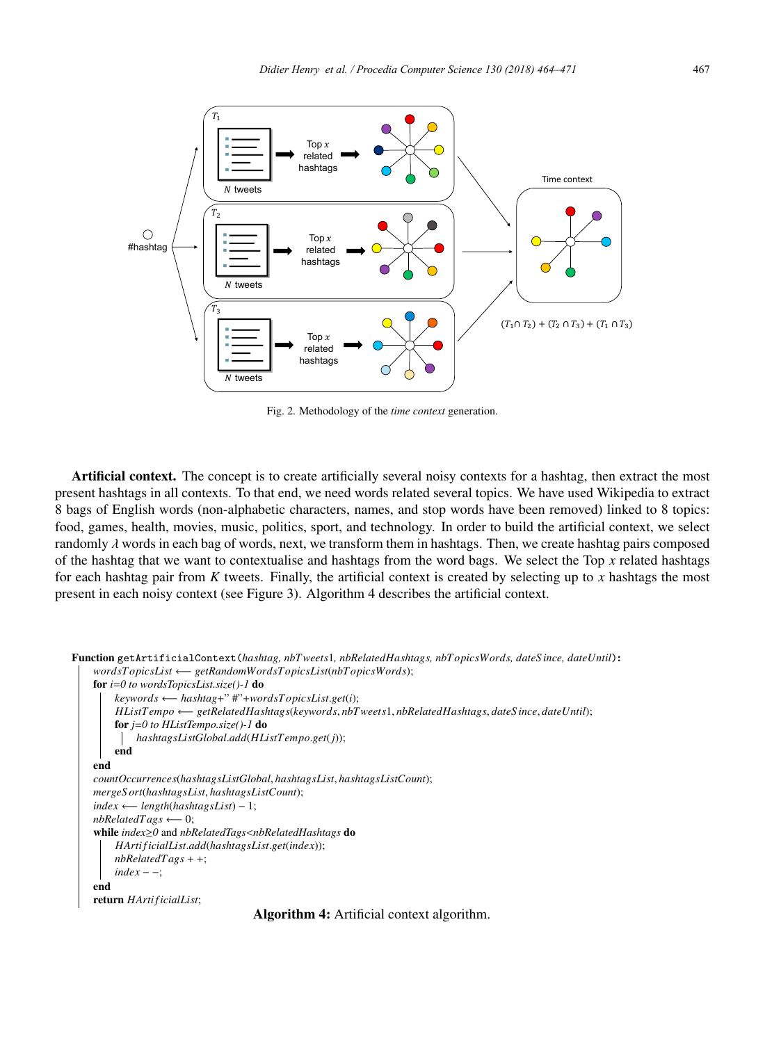

Fig. 2. Methodology of the *time context* generation.

Artificial context. The concept is to create artificially several noisy contexts for a hashtag, then extract the most present hashtags in all contexts. To that end, we need words related several topics. We have used Wikipedia to extract 8 bags of English words (non-alphabetic characters, names, and stop words have been removed) linked to 8 topics: food, games, health, movies, music, politics, sport, and technology. In order to build the artificial context, we select randomly  $\lambda$  words in each bag of words, next, we transform them in hashtags. Then, we create hashtag pairs composed of the hashtag that we want to contextualise and hashtags from the word bags. We select the Top *x* related hashtags for each hashtag pair from *K* tweets. Finally, the artificial context is created by selecting up to *x* hashtags the most present in each noisy context (see Figure 3). Algorithm 4 describes the artificial context.

```
Function getArtificialContext(hashtag, nbTweets1, nbRelatedHashtags, nbT opicsWords, dateS ince, dateUntil):
    wordsT opicsList ←− getRandomWordsT opicsList(nbT opicsWords);
    for i=0 to wordsTopicsList.size()-1 do
        keywords ←− hashtag+" #"+wordsT opicsList.get(i);
        HListT empo ←− getRelatedHashtags(keywords, nbTweets1, nbRelatedHashtags, dateS ince, dateUntil);
        for j=0 to HListTempo.size()-1 do
             hashtagsListGlobal.add(HListT empo.get(j));
        end
    end
    countOccurrences(hashtagsListGlobal, hashtagsList, hashtagsListCount);
    mergeS ort(hashtagsList, hashtagsListCount);
    index ←− length(hashtagsList) − 1;
    nbRelatedTags ← 0;
    while index≥0 and nbRelatedTags<nbRelatedHashtags do
        HArti f icialList.add(hashtagsList.get(index));
        nbRelatedT ags + +;
        index - -;
    end
    return HArti f icialList;
```
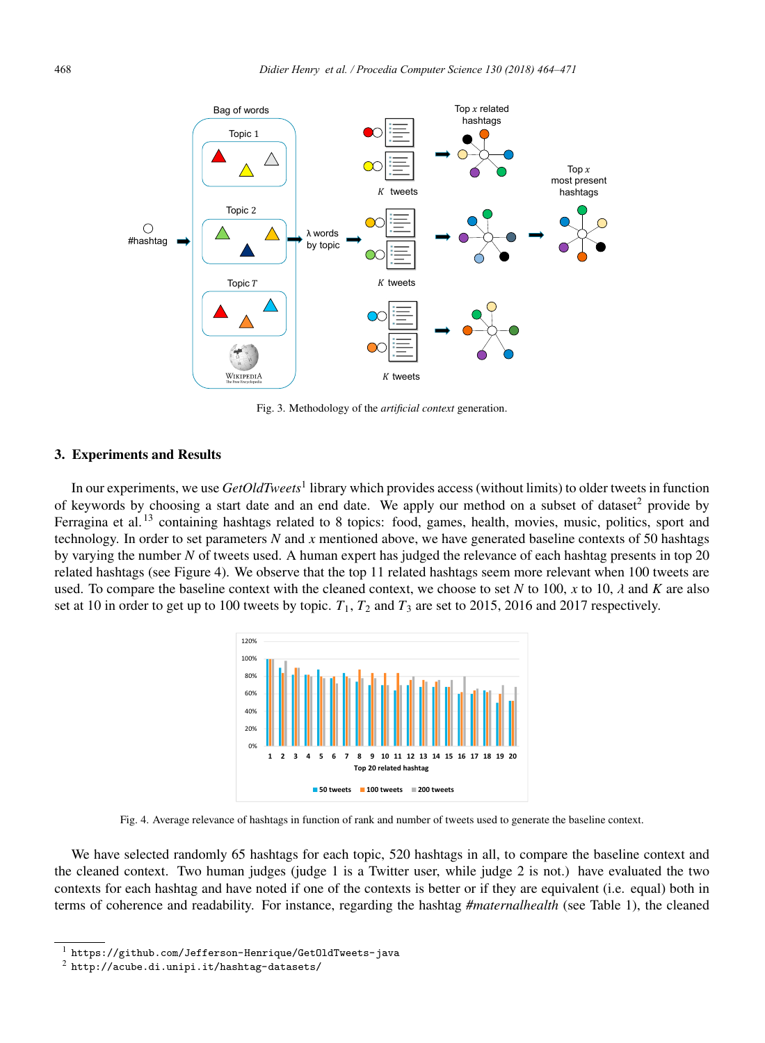

Fig. 3. Methodology of the *artificial context* generation.

#### 3. Experiments and Results

In our experiments, we use *GetOldTweets*<sup>1</sup> library which provides access (without limits) to older tweets in function of keywords by choosing a start date and an end date. We apply our method on a subset of dataset $^2$  provide by Ferragina et al.<sup>13</sup> containing hashtags related to 8 topics: food, games, health, movies, music, politics, sport and technology. In order to set parameters *N* and *x* mentioned above, we have generated baseline contexts of 50 hashtags by varying the number *N* of tweets used. A human expert has judged the relevance of each hashtag presents in top 20 related hashtags (see Figure 4). We observe that the top 11 related hashtags seem more relevant when 100 tweets are used. To compare the baseline context with the cleaned context, we choose to set *N* to 100, *x* to 10, λ and *K* are also set at 10 in order to get up to 100 tweets by topic.  $T_1$ ,  $T_2$  and  $T_3$  are set to 2015, 2016 and 2017 respectively.



Fig. 4. Average relevance of hashtags in function of rank and number of tweets used to generate the baseline context.

We have selected randomly 65 hashtags for each topic, 520 hashtags in all, to compare the baseline context and the cleaned context. Two human judges (judge 1 is a Twitter user, while judge 2 is not.) have evaluated the two contexts for each hashtag and have noted if one of the contexts is better or if they are equivalent (i.e. equal) both in terms of coherence and readability. For instance, regarding the hashtag *#maternalhealth* (see Table 1), the cleaned

<sup>1</sup> https://github.com/Jefferson-Henrique/GetOldTweets-java

<sup>2</sup> http://acube.di.unipi.it/hashtag-datasets/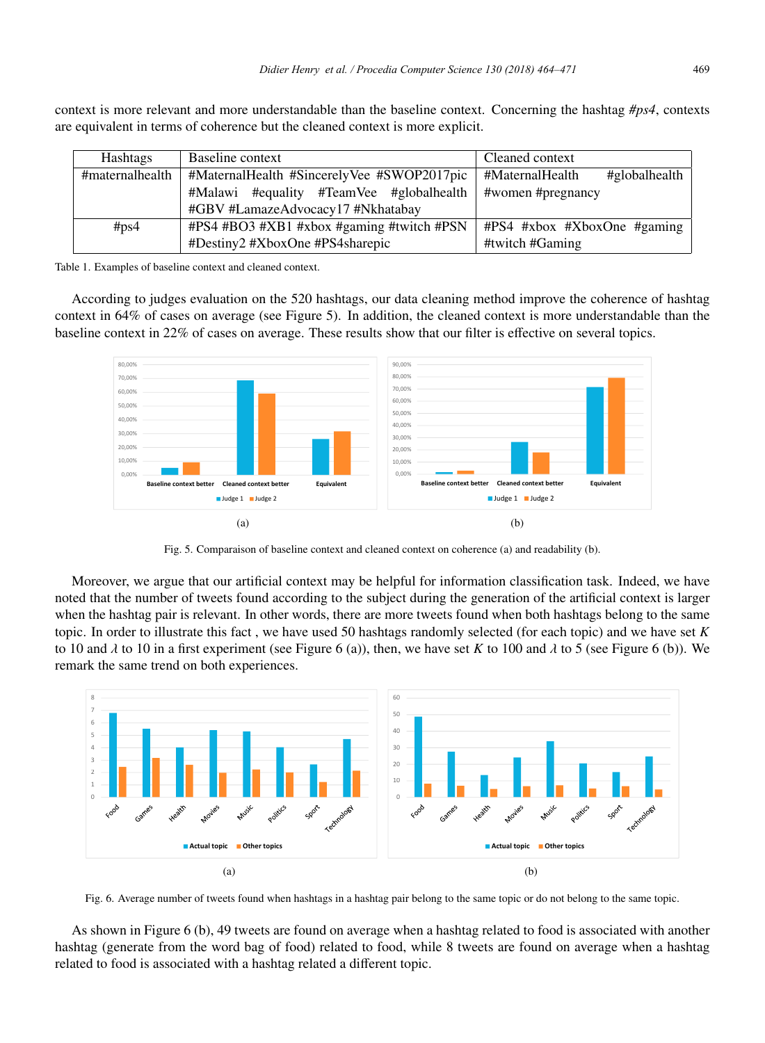| Hashtags        | Baseline context                           | Cleaned context                  |
|-----------------|--------------------------------------------|----------------------------------|
| #maternalhealth | #MaternalHealth #SincerelyVee #SWOP2017pic | #globalhealth<br>#MaternalHealth |
|                 | #Malawi #equality #TeamVee #globalhealth   | #women #pregnancy                |
|                 | #GBV #LamazeAdvocacy17 #Nkhatabay          |                                  |
| $\#$ ps4        | #PS4 #BO3 #XB1 #xbox #gaming #twitch #PSN  | $\#PS4$ #xbox #XboxOne #gaming   |
|                 | #Destiny2 #XboxOne #PS4sharepic            | #twitch #Gaming                  |

context is more relevant and more understandable than the baseline context. Concerning the hashtag *#ps4*, contexts are equivalent in terms of coherence but the cleaned context is more explicit.

Table 1. Examples of baseline context and cleaned context.

According to judges evaluation on the 520 hashtags, our data cleaning method improve the coherence of hashtag context in 64% of cases on average (see Figure 5). In addition, the cleaned context is more understandable than the baseline context in 22% of cases on average. These results show that our filter is effective on several topics.



Fig. 5. Comparaison of baseline context and cleaned context on coherence (a) and readability (b).

Moreover, we argue that our artificial context may be helpful for information classification task. Indeed, we have noted that the number of tweets found according to the subject during the generation of the artificial context is larger when the hashtag pair is relevant. In other words, there are more tweets found when both hashtags belong to the same topic. In order to illustrate this fact , we have used 50 hashtags randomly selected (for each topic) and we have set *K* to 10 and  $\lambda$  to 10 in a first experiment (see Figure 6 (a)), then, we have set *K* to 100 and  $\lambda$  to 5 (see Figure 6 (b)). We remark the same trend on both experiences.



Fig. 6. Average number of tweets found when hashtags in a hashtag pair belong to the same topic or do not belong to the same topic.

As shown in Figure 6 (b), 49 tweets are found on average when a hashtag related to food is associated with another hashtag (generate from the word bag of food) related to food, while 8 tweets are found on average when a hashtag related to food is associated with a hashtag related a different topic.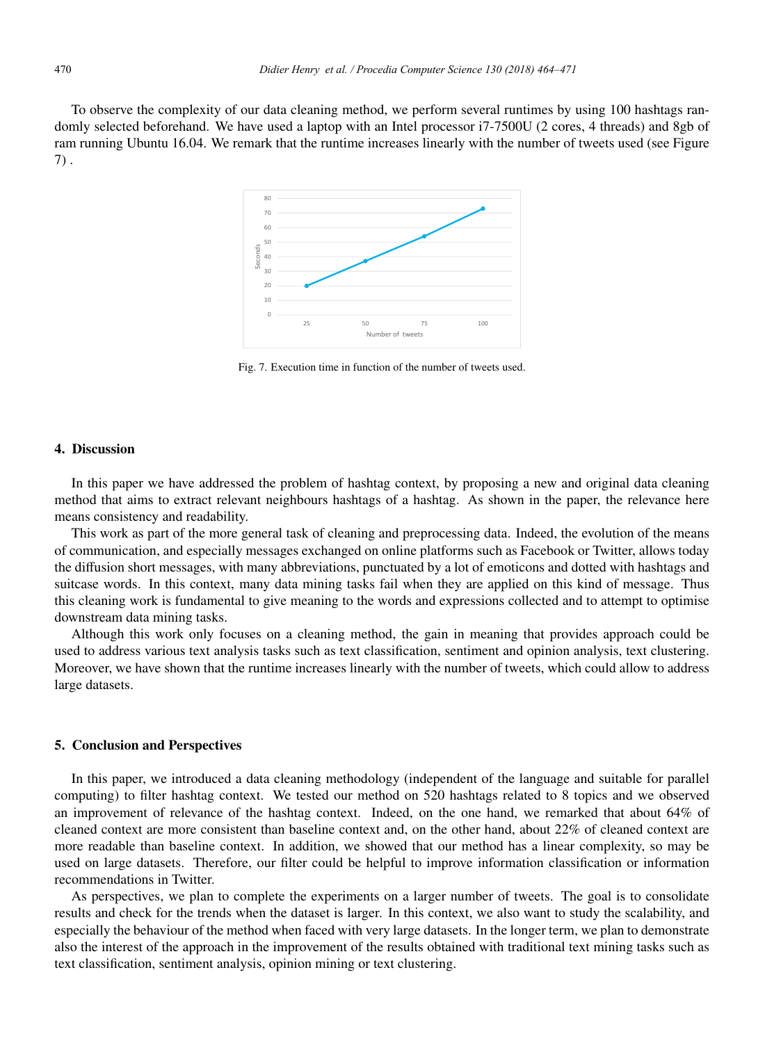To observe the complexity of our data cleaning method, we perform several runtimes by using 100 hashtags randomly selected beforehand. We have used a laptop with an Intel processor i7-7500U (2 cores, 4 threads) and 8gb of ram running Ubuntu 16.04. We remark that the runtime increases linearly with the number of tweets used (see Figure 7) .



Fig. 7. Execution time in function of the number of tweets used.

#### 4. Discussion

In this paper we have addressed the problem of hashtag context, by proposing a new and original data cleaning method that aims to extract relevant neighbours hashtags of a hashtag. As shown in the paper, the relevance here means consistency and readability.

This work as part of the more general task of cleaning and preprocessing data. Indeed, the evolution of the means of communication, and especially messages exchanged on online platforms such as Facebook or Twitter, allows today the diffusion short messages, with many abbreviations, punctuated by a lot of emoticons and dotted with hashtags and suitcase words. In this context, many data mining tasks fail when they are applied on this kind of message. Thus this cleaning work is fundamental to give meaning to the words and expressions collected and to attempt to optimise downstream data mining tasks.

Although this work only focuses on a cleaning method, the gain in meaning that provides approach could be used to address various text analysis tasks such as text classification, sentiment and opinion analysis, text clustering. Moreover, we have shown that the runtime increases linearly with the number of tweets, which could allow to address large datasets.

#### 5. Conclusion and Perspectives

In this paper, we introduced a data cleaning methodology (independent of the language and suitable for parallel computing) to filter hashtag context. We tested our method on 520 hashtags related to 8 topics and we observed an improvement of relevance of the hashtag context. Indeed, on the one hand, we remarked that about 64% of cleaned context are more consistent than baseline context and, on the other hand, about 22% of cleaned context are more readable than baseline context. In addition, we showed that our method has a linear complexity, so may be used on large datasets. Therefore, our filter could be helpful to improve information classification or information recommendations in Twitter.

As perspectives, we plan to complete the experiments on a larger number of tweets. The goal is to consolidate results and check for the trends when the dataset is larger. In this context, we also want to study the scalability, and especially the behaviour of the method when faced with very large datasets. In the longer term, we plan to demonstrate also the interest of the approach in the improvement of the results obtained with traditional text mining tasks such as text classification, sentiment analysis, opinion mining or text clustering.